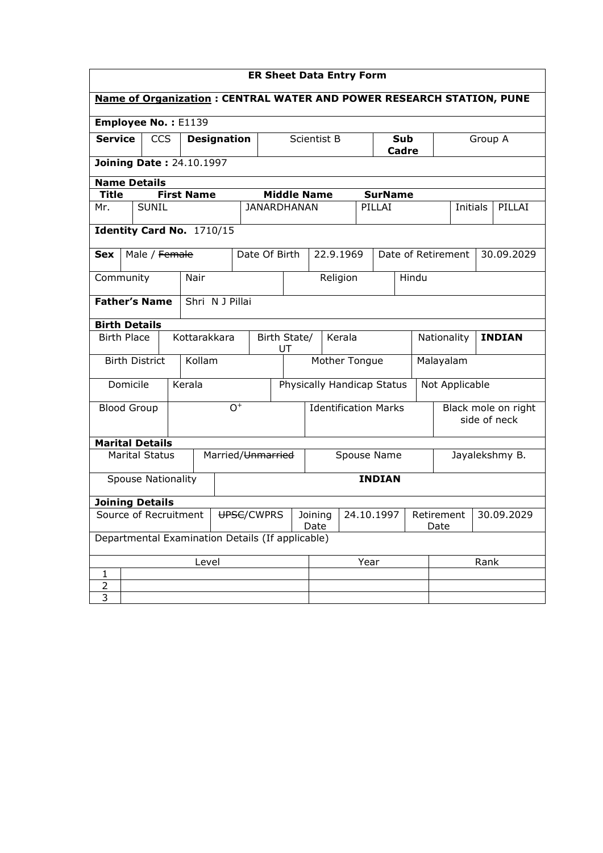| <b>ER Sheet Data Entry Form</b>                                             |                                            |                       |  |                             |                 |                                             |                                  |  |                                     |           |  |                |                |      |                                  |  |        |
|-----------------------------------------------------------------------------|--------------------------------------------|-----------------------|--|-----------------------------|-----------------|---------------------------------------------|----------------------------------|--|-------------------------------------|-----------|--|----------------|----------------|------|----------------------------------|--|--------|
| <b>Name of Organization: CENTRAL WATER AND POWER RESEARCH STATION, PUNE</b> |                                            |                       |  |                             |                 |                                             |                                  |  |                                     |           |  |                |                |      |                                  |  |        |
| Employee No.: E1139                                                         |                                            |                       |  |                             |                 |                                             |                                  |  |                                     |           |  |                |                |      |                                  |  |        |
| <b>Service</b>                                                              |                                            | <b>CCS</b>            |  | <b>Designation</b>          |                 |                                             |                                  |  | <b>Scientist B</b><br>Sub<br>Cadre  |           |  |                | Group A        |      |                                  |  |        |
|                                                                             | Joining Date: 24.10.1997                   |                       |  |                             |                 |                                             |                                  |  |                                     |           |  |                |                |      |                                  |  |        |
|                                                                             | <b>Name Details</b>                        |                       |  |                             |                 |                                             |                                  |  |                                     |           |  |                |                |      |                                  |  |        |
| <b>Title</b>                                                                |                                            |                       |  | <b>First Name</b>           |                 |                                             |                                  |  | <b>Middle Name</b>                  |           |  | <b>SurName</b> |                |      |                                  |  |        |
| Mr.                                                                         |                                            | <b>SUNIL</b>          |  |                             |                 | <b>JANARDHANAN</b>                          |                                  |  |                                     |           |  | PILLAI         |                |      | <b>Initials</b>                  |  | PILLAI |
|                                                                             |                                            |                       |  | Identity Card No. 1710/15   |                 |                                             |                                  |  |                                     |           |  |                |                |      |                                  |  |        |
| <b>Sex</b>                                                                  |                                            | Male / Female         |  |                             |                 | Date Of Birth                               |                                  |  |                                     | 22.9.1969 |  |                |                |      | Date of Retirement<br>30.09.2029 |  |        |
| Community                                                                   |                                            |                       |  | Nair                        |                 |                                             |                                  |  |                                     | Religion  |  | Hindu          |                |      |                                  |  |        |
|                                                                             | <b>Father's Name</b><br>Shri N J Pillai    |                       |  |                             |                 |                                             |                                  |  |                                     |           |  |                |                |      |                                  |  |        |
| <b>Birth Details</b>                                                        |                                            |                       |  |                             |                 |                                             |                                  |  |                                     |           |  |                |                |      |                                  |  |        |
|                                                                             | <b>Birth Place</b><br>Kottarakkara         |                       |  |                             |                 | Birth State/<br>Kerala<br>Nationality<br>UT |                                  |  |                                     |           |  | <b>INDIAN</b>  |                |      |                                  |  |        |
|                                                                             |                                            | <b>Birth District</b> |  | Kollam                      |                 |                                             | Mother Tongue                    |  |                                     |           |  | Malayalam      |                |      |                                  |  |        |
|                                                                             | Domicile                                   |                       |  | Kerala                      |                 |                                             |                                  |  | Physically Handicap Status          |           |  |                | Not Applicable |      |                                  |  |        |
|                                                                             | $\overline{O}^+$<br><b>Blood Group</b>     |                       |  | <b>Identification Marks</b> |                 |                                             |                                  |  | Black mole on right<br>side of neck |           |  |                |                |      |                                  |  |        |
| <b>Marital Details</b>                                                      |                                            |                       |  |                             |                 |                                             |                                  |  |                                     |           |  |                |                |      |                                  |  |        |
|                                                                             |                                            | <b>Marital Status</b> |  |                             |                 |                                             | Married/Unmarried<br>Spouse Name |  |                                     |           |  |                | Jayalekshmy B. |      |                                  |  |        |
|                                                                             | <b>INDIAN</b><br><b>Spouse Nationality</b> |                       |  |                             |                 |                                             |                                  |  |                                     |           |  |                |                |      |                                  |  |        |
| <b>Joining Details</b>                                                      |                                            |                       |  |                             |                 |                                             |                                  |  |                                     |           |  |                |                |      |                                  |  |        |
| Source of Recruitment<br>UPSC/CWPRS                                         |                                            |                       |  |                             | Joining<br>Date |                                             |                                  |  | 24.10.1997<br>Retirement            |           |  | Date           | 30.09.2029     |      |                                  |  |        |
| Departmental Examination Details (If applicable)                            |                                            |                       |  |                             |                 |                                             |                                  |  |                                     |           |  |                |                |      |                                  |  |        |
| Level                                                                       |                                            |                       |  |                             |                 |                                             |                                  |  | Year                                |           |  |                |                | Rank |                                  |  |        |
| 1                                                                           |                                            |                       |  |                             |                 |                                             |                                  |  |                                     |           |  |                |                |      |                                  |  |        |
| $\overline{a}$<br>3                                                         |                                            |                       |  |                             |                 |                                             |                                  |  |                                     |           |  |                |                |      |                                  |  |        |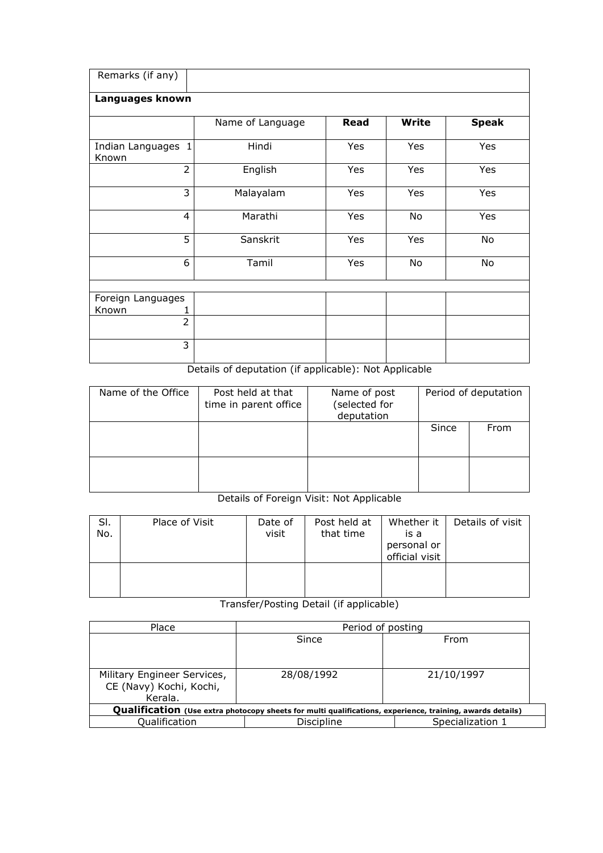| Remarks (if any)            |                  |             |              |              |
|-----------------------------|------------------|-------------|--------------|--------------|
| Languages known             |                  |             |              |              |
|                             | Name of Language | <b>Read</b> | <b>Write</b> | <b>Speak</b> |
| Indian Languages 1<br>Known | Hindi            | Yes         | Yes          | Yes          |
| $\overline{2}$              | English          | Yes         | Yes          | Yes          |
| 3                           | Malayalam        | Yes         | Yes          | Yes          |
| $\overline{4}$              | Marathi          | Yes         | No           | Yes          |
| 5                           | Sanskrit         | Yes         | Yes          | No           |
| 6                           | Tamil            | Yes         | No           | No           |
|                             |                  |             |              |              |
| Foreign Languages           |                  |             |              |              |
| Known<br>1                  |                  |             |              |              |
| $\overline{2}$              |                  |             |              |              |
| 3                           |                  |             |              |              |

# Details of deputation (if applicable): Not Applicable

| Name of the Office | Post held at that<br>time in parent office | Name of post<br>(selected for<br>deputation |       | Period of deputation |
|--------------------|--------------------------------------------|---------------------------------------------|-------|----------------------|
|                    |                                            |                                             | Since | From                 |
|                    |                                            |                                             |       |                      |

# Details of Foreign Visit: Not Applicable

| SI.<br>No. | Place of Visit | Date of<br>visit | Post held at<br>that time | Whether it<br>is a<br>personal or<br>official visit | Details of visit |
|------------|----------------|------------------|---------------------------|-----------------------------------------------------|------------------|
|            |                |                  |                           |                                                     |                  |

# Transfer/Posting Detail (if applicable)

| Place                                                                                                     | Period of posting |                  |  |  |  |  |  |
|-----------------------------------------------------------------------------------------------------------|-------------------|------------------|--|--|--|--|--|
|                                                                                                           | Since             | From             |  |  |  |  |  |
|                                                                                                           |                   |                  |  |  |  |  |  |
|                                                                                                           |                   |                  |  |  |  |  |  |
| Military Engineer Services,                                                                               | 28/08/1992        | 21/10/1997       |  |  |  |  |  |
| CE (Navy) Kochi, Kochi,                                                                                   |                   |                  |  |  |  |  |  |
| Kerala.                                                                                                   |                   |                  |  |  |  |  |  |
| Qualification (Use extra photocopy sheets for multi qualifications, experience, training, awards details) |                   |                  |  |  |  |  |  |
| Qualification                                                                                             | Discipline        | Specialization 1 |  |  |  |  |  |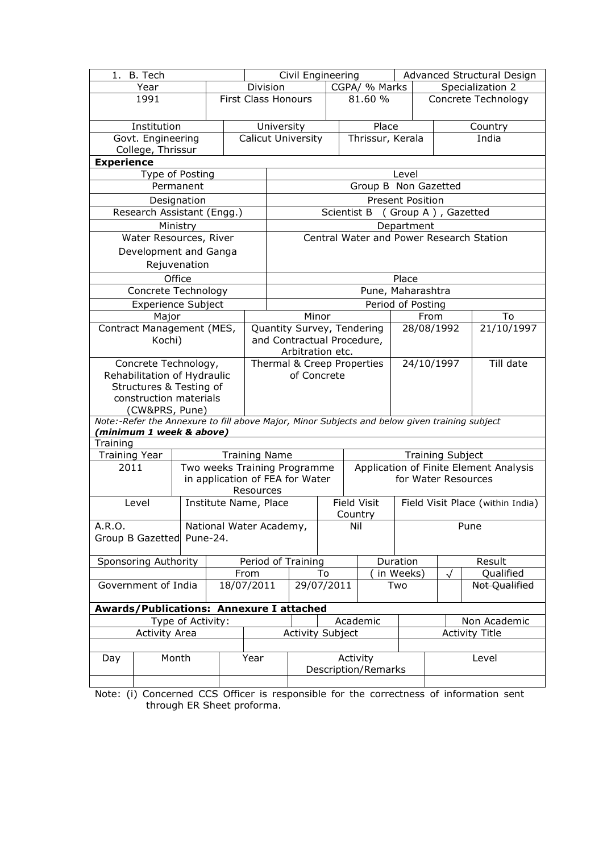| 1. B. Tech                             |                                                 |              |  | Civil Engineering    |                                                                                               |                         |             |          | Advanced Structural Design |                         |                                  |               |                                          |  |
|----------------------------------------|-------------------------------------------------|--------------|--|----------------------|-----------------------------------------------------------------------------------------------|-------------------------|-------------|----------|----------------------------|-------------------------|----------------------------------|---------------|------------------------------------------|--|
|                                        | Year                                            |              |  | Division             |                                                                                               | CGPA/ % Marks           |             |          |                            | Specialization 2        |                                  |               |                                          |  |
|                                        | 1991                                            |              |  | First Class Honours  |                                                                                               |                         |             |          | 81.60 %                    |                         |                                  |               | Concrete Technology                      |  |
|                                        | Institution                                     |              |  |                      | Place<br>University                                                                           |                         |             |          | Country                    |                         |                                  |               |                                          |  |
| Govt. Engineering<br>College, Thrissur |                                                 |              |  |                      | Thrissur, Kerala<br><b>Calicut University</b><br>India                                        |                         |             |          |                            |                         |                                  |               |                                          |  |
| <b>Experience</b>                      |                                                 |              |  |                      |                                                                                               |                         |             |          |                            |                         |                                  |               |                                          |  |
|                                        | Type of Posting                                 |              |  |                      |                                                                                               |                         |             |          |                            | Level                   |                                  |               |                                          |  |
|                                        |                                                 | Permanent    |  |                      |                                                                                               |                         |             |          |                            | Group B Non Gazetted    |                                  |               |                                          |  |
|                                        |                                                 | Designation  |  |                      |                                                                                               |                         |             |          |                            | <b>Present Position</b> |                                  |               |                                          |  |
|                                        | Research Assistant (Engg.)                      |              |  |                      |                                                                                               |                         | Scientist B |          |                            | (Group A), Gazetted     |                                  |               |                                          |  |
|                                        |                                                 | Ministry     |  |                      |                                                                                               |                         |             |          |                            | Department              |                                  |               |                                          |  |
|                                        | Water Resources, River                          |              |  |                      |                                                                                               |                         |             |          |                            |                         |                                  |               | Central Water and Power Research Station |  |
|                                        | Development and Ganga                           |              |  |                      |                                                                                               |                         |             |          |                            |                         |                                  |               |                                          |  |
|                                        |                                                 | Rejuvenation |  |                      |                                                                                               |                         |             |          |                            |                         |                                  |               |                                          |  |
|                                        |                                                 | Office       |  |                      |                                                                                               |                         |             |          |                            | Place                   |                                  |               |                                          |  |
|                                        | Concrete Technology                             |              |  |                      |                                                                                               |                         |             |          |                            | Pune, Maharashtra       |                                  |               |                                          |  |
|                                        | <b>Experience Subject</b>                       |              |  |                      |                                                                                               |                         |             |          |                            | Period of Posting       |                                  |               |                                          |  |
|                                        | Major                                           |              |  |                      |                                                                                               | Minor                   |             |          |                            |                         | From                             |               | To                                       |  |
|                                        | Contract Management (MES,                       |              |  |                      | Quantity Survey, Tendering                                                                    |                         |             |          |                            | 28/08/1992              |                                  |               | 21/10/1997                               |  |
| Kochi)                                 |                                                 |              |  |                      | and Contractual Procedure,<br>Arbitration etc.                                                |                         |             |          |                            |                         |                                  |               |                                          |  |
|                                        | Concrete Technology,                            |              |  |                      | Thermal & Creep Properties                                                                    |                         |             |          | 24/10/1997                 |                         |                                  | Till date     |                                          |  |
|                                        | Rehabilitation of Hydraulic                     |              |  |                      |                                                                                               | of Concrete             |             |          |                            |                         |                                  |               |                                          |  |
|                                        | Structures & Testing of                         |              |  |                      |                                                                                               |                         |             |          |                            |                         |                                  |               |                                          |  |
|                                        | construction materials                          |              |  |                      |                                                                                               |                         |             |          |                            |                         |                                  |               |                                          |  |
|                                        | (CW&PRS, Pune)                                  |              |  |                      | Note:-Refer the Annexure to fill above Major, Minor Subjects and below given training subject |                         |             |          |                            |                         |                                  |               |                                          |  |
|                                        | (minimum 1 week & above)                        |              |  |                      |                                                                                               |                         |             |          |                            |                         |                                  |               |                                          |  |
| Training                               |                                                 |              |  |                      |                                                                                               |                         |             |          |                            |                         |                                  |               |                                          |  |
| <b>Training Year</b>                   |                                                 |              |  | <b>Training Name</b> | <b>Training Subject</b>                                                                       |                         |             |          |                            |                         |                                  |               |                                          |  |
| 2011                                   |                                                 |              |  |                      | Application of Finite Element Analysis<br>Two weeks Training Programme                        |                         |             |          |                            |                         |                                  |               |                                          |  |
| in application of FEA for Water        |                                                 |              |  |                      | for Water Resources                                                                           |                         |             |          |                            |                         |                                  |               |                                          |  |
|                                        | Level                                           |              |  | Resources            | <b>Field Visit</b>                                                                            |                         |             |          |                            |                         |                                  |               |                                          |  |
|                                        |                                                 |              |  |                      | Institute Name, Place                                                                         |                         |             | Country  |                            |                         | Field Visit Place (within India) |               |                                          |  |
| A.R.O.                                 |                                                 |              |  |                      | National Water Academy,                                                                       |                         |             | Nil      |                            |                         | Pune                             |               |                                          |  |
|                                        | Group B Gazetted Pune-24.                       |              |  |                      |                                                                                               |                         |             |          |                            |                         |                                  |               |                                          |  |
|                                        |                                                 |              |  |                      |                                                                                               |                         |             |          |                            |                         |                                  |               |                                          |  |
|                                        | Sponsoring Authority                            |              |  |                      |                                                                                               | Period of Training      |             |          | Duration                   |                         |                                  |               | Result                                   |  |
|                                        |                                                 |              |  | From                 |                                                                                               |                         | To          |          |                            | in Weeks)               | $\sqrt{}$                        |               | Qualified                                |  |
| Government of India<br>18/07/2011      |                                                 |              |  |                      | 29/07/2011                                                                                    |                         |             |          | Two                        |                         |                                  | Not Qualified |                                          |  |
|                                        | <b>Awards/Publications: Annexure I attached</b> |              |  |                      |                                                                                               |                         |             |          |                            |                         |                                  |               |                                          |  |
| Type of Activity:                      |                                                 |              |  |                      |                                                                                               |                         |             | Academic |                            |                         | Non Academic                     |               |                                          |  |
| <b>Activity Area</b>                   |                                                 |              |  |                      |                                                                                               | <b>Activity Subject</b> |             |          |                            | <b>Activity Title</b>   |                                  |               |                                          |  |
|                                        |                                                 |              |  |                      |                                                                                               |                         |             |          |                            |                         |                                  |               |                                          |  |
| Day                                    |                                                 | Month        |  | Year                 |                                                                                               |                         |             | Activity |                            | Level                   |                                  |               |                                          |  |
|                                        |                                                 |              |  |                      |                                                                                               |                         |             |          | Description/Remarks        |                         |                                  |               |                                          |  |
|                                        |                                                 |              |  |                      |                                                                                               |                         |             |          |                            |                         |                                  |               |                                          |  |

Note: (i) Concerned CCS Officer is responsible for the correctness of information sent through ER Sheet proforma.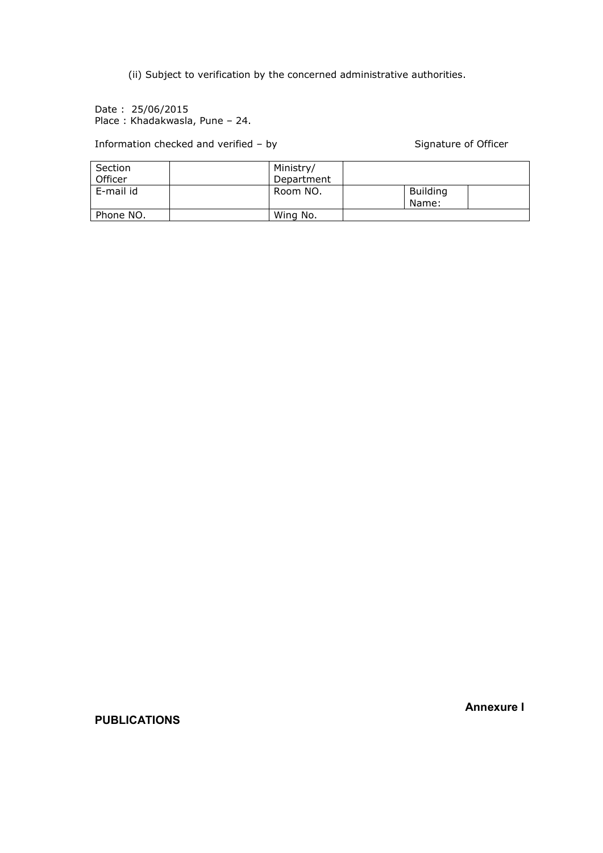(ii) Subject to verification by the concerned administrative authorities.

Date : 25/06/2015 Place : Khadakwasla, Pune – 24.

Information checked and verified – by Signature of Officer

| Section   | Ministry/  |                          |  |
|-----------|------------|--------------------------|--|
| Officer   | Department |                          |  |
| E-mail id | Room NO.   | <b>Building</b><br>Name: |  |
| Phone NO. | Wing No.   |                          |  |

Annexure I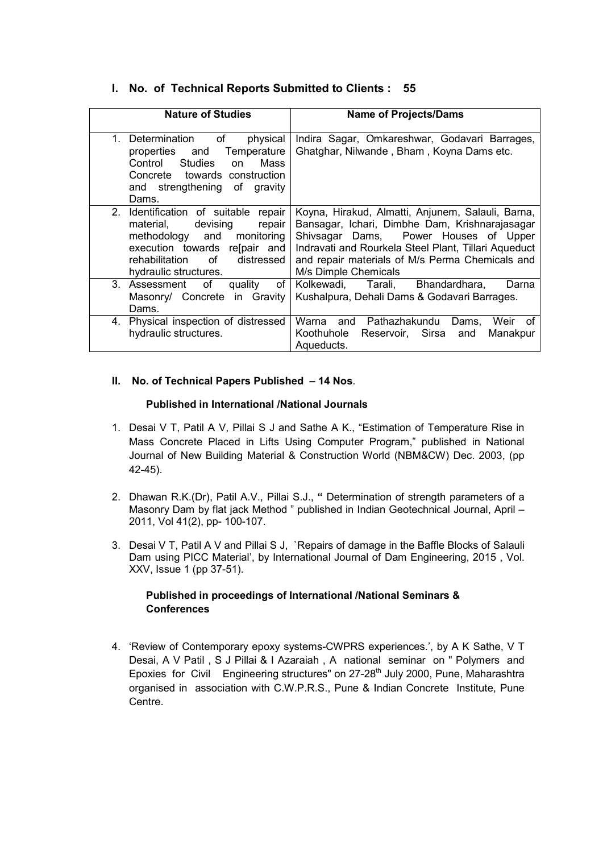### I. No. of Technical Reports Submitted to Clients : 55

| <b>Nature of Studies</b>                                                                                                                                                                                 | <b>Name of Projects/Dams</b>                                                                                                                                                                                                                                                    |
|----------------------------------------------------------------------------------------------------------------------------------------------------------------------------------------------------------|---------------------------------------------------------------------------------------------------------------------------------------------------------------------------------------------------------------------------------------------------------------------------------|
| Determination<br>of<br>physical<br>1.<br>Temperature<br>properties<br>and<br><b>Studies</b><br>Mass<br>Control<br>on<br>Concrete towards construction<br>and strengthening of gravity<br>Dams.           | Indira Sagar, Omkareshwar, Godavari Barrages,<br>Ghatghar, Nilwande, Bham, Koyna Dams etc.                                                                                                                                                                                      |
| 2. Identification of suitable<br>repair<br>devising<br>material,<br>repair<br>methodology and<br>monitoring<br>execution towards relpair and<br>rehabilitation of<br>distressed<br>hydraulic structures. | Koyna, Hirakud, Almatti, Anjunem, Salauli, Barna,<br>Bansagar, Ichari, Dimbhe Dam, Krishnarajasagar<br>Shivsagar Dams, Power Houses of Upper<br>Indravati and Rourkela Steel Plant, Tillari Aqueduct<br>and repair materials of M/s Perma Chemicals and<br>M/s Dimple Chemicals |
| 3. Assessment<br>οf<br>quality<br>of<br>Masonry/ Concrete in Gravity<br>Dams.                                                                                                                            | Bhandardhara.<br>Kolkewadi.<br>Tarali,<br>Darna<br>Kushalpura, Dehali Dams & Godavari Barrages.                                                                                                                                                                                 |
| Physical inspection of distressed<br>4.<br>hydraulic structures.                                                                                                                                         | Warna<br>Pathazhakundu<br>and<br>Weir<br>Dams.<br>0t<br>Reservoir, Sirsa<br>Koothuhole<br>Manakpur<br>and<br>Aqueducts.                                                                                                                                                         |

#### II. No. of Technical Papers Published – 14 Nos.

#### Published in International /National Journals

- 1. Desai V T, Patil A V, Pillai S J and Sathe A K., "Estimation of Temperature Rise in Mass Concrete Placed in Lifts Using Computer Program," published in National Journal of New Building Material & Construction World (NBM&CW) Dec. 2003, (pp 42-45).
- 2. Dhawan R.K.(Dr), Patil A.V., Pillai S.J., " Determination of strength parameters of a Masonry Dam by flat jack Method " published in Indian Geotechnical Journal, April – 2011, Vol 41(2), pp- 100-107.
- 3. Desai V T, Patil A V and Pillai S J, `Repairs of damage in the Baffle Blocks of Salauli Dam using PICC Material', by International Journal of Dam Engineering, 2015 , Vol. XXV, Issue 1 (pp 37-51).

#### Published in proceedings of International /National Seminars & **Conferences**

4. 'Review of Contemporary epoxy systems-CWPRS experiences.', by A K Sathe, V T Desai, A V Patil , S J Pillai & I Azaraiah , A national seminar on " Polymers and Epoxies for Civil Engineering structures" on 27-28<sup>th</sup> July 2000, Pune, Maharashtra organised in association with C.W.P.R.S., Pune & Indian Concrete Institute, Pune Centre.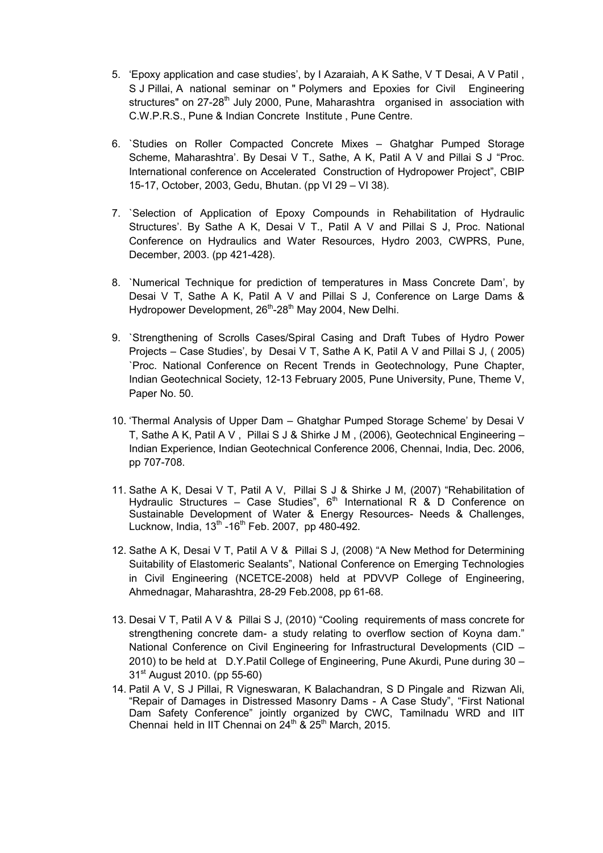- 5. 'Epoxy application and case studies', by I Azaraiah, A K Sathe, V T Desai, A V Patil , S J Pillai, A national seminar on " Polymers and Epoxies for Civil Engineering structures" on 27-28<sup>th</sup> July 2000, Pune, Maharashtra organised in association with C.W.P.R.S., Pune & Indian Concrete Institute , Pune Centre.
- 6. `Studies on Roller Compacted Concrete Mixes Ghatghar Pumped Storage Scheme, Maharashtra'. By Desai V T., Sathe, A K, Patil A V and Pillai S J "Proc. International conference on Accelerated Construction of Hydropower Project", CBIP 15-17, October, 2003, Gedu, Bhutan. (pp VI 29 – VI 38).
- 7. `Selection of Application of Epoxy Compounds in Rehabilitation of Hydraulic Structures'. By Sathe A K, Desai V T., Patil A V and Pillai S J, Proc. National Conference on Hydraulics and Water Resources, Hydro 2003, CWPRS, Pune, December, 2003. (pp 421-428).
- 8. `Numerical Technique for prediction of temperatures in Mass Concrete Dam', by Desai V T, Sathe A K, Patil A V and Pillai S J, Conference on Large Dams & Hydropower Development, 26<sup>th</sup>-28<sup>th</sup> May 2004, New Delhi.
- 9. `Strengthening of Scrolls Cases/Spiral Casing and Draft Tubes of Hydro Power Projects – Case Studies', by Desai V T, Sathe A K, Patil A V and Pillai S J, ( 2005) `Proc. National Conference on Recent Trends in Geotechnology, Pune Chapter, Indian Geotechnical Society, 12-13 February 2005, Pune University, Pune, Theme V, Paper No. 50.
- 10. 'Thermal Analysis of Upper Dam Ghatghar Pumped Storage Scheme' by Desai V T, Sathe A K, Patil A V , Pillai S J & Shirke J M , (2006), Geotechnical Engineering – Indian Experience, Indian Geotechnical Conference 2006, Chennai, India, Dec. 2006, pp 707-708.
- 11. Sathe A K, Desai V T, Patil A V, Pillai S J & Shirke J M, (2007) "Rehabilitation of Hydraulic Structures – Case Studies",  $6<sup>th</sup>$  International R & D Conference on Sustainable Development of Water & Energy Resources- Needs & Challenges, Lucknow, India,  $13^{th}$  -16<sup>th</sup> Feb. 2007, pp 480-492.
- 12. Sathe A K, Desai V T, Patil A V & Pillai S J, (2008) "A New Method for Determining Suitability of Elastomeric Sealants", National Conference on Emerging Technologies in Civil Engineering (NCETCE-2008) held at PDVVP College of Engineering, Ahmednagar, Maharashtra, 28-29 Feb.2008, pp 61-68.
- 13. Desai V T, Patil A V & Pillai S J, (2010) "Cooling requirements of mass concrete for strengthening concrete dam- a study relating to overflow section of Koyna dam." National Conference on Civil Engineering for Infrastructural Developments (CID – 2010) to be held at D.Y.Patil College of Engineering, Pune Akurdi, Pune during 30 – 31<sup>st</sup> August 2010. (pp 55-60)
- 14. Patil A V, S J Pillai, R Vigneswaran, K Balachandran, S D Pingale and Rizwan Ali, "Repair of Damages in Distressed Masonry Dams - A Case Study", "First National Dam Safety Conference" jointly organized by CWC, Tamilnadu WRD and IIT Chennai held in IIT Chennai on  $24^{th}$  &  $25^{th}$  March, 2015.